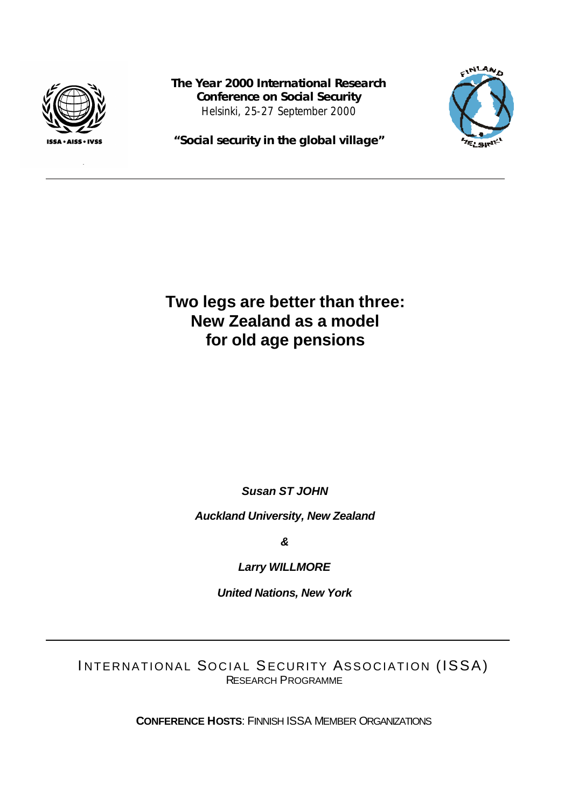

**The Year 2000 International Research Conference on Social Security** Helsinki, 25-27 September 2000



**"Social security in the global village"**

**Two legs are better than three: New Zealand as a model for old age pensions**

*Susan ST JOHN*

*Auckland University, New Zealand*

*&*

*Larry WILLMORE*

*United Nations, New York*

INTERNATIONAL SOCIAL SECURITY ASSOCIATION (ISSA) RESEARCH PROGRAMME

**CONFERENCE HOSTS**: FINNISH ISSA MEMBER ORGANIZATIONS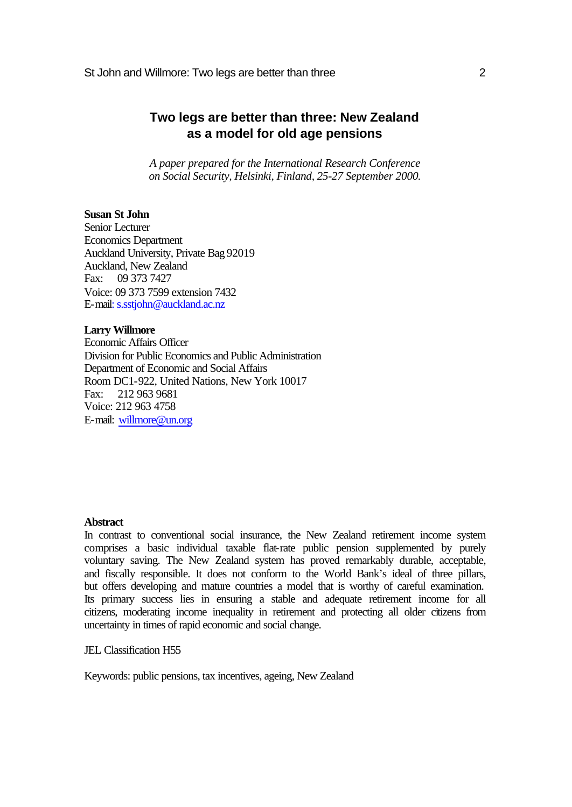# **Two legs are better than three: New Zealand as a model for old age pensions**

*A paper prepared for the International Research Conference on Social Security, Helsinki, Finland, 25-27 September 2000.*

# **Susan St John**

Senior Lecturer Economics Department Auckland University, Private Bag 92019 Auckland, New Zealand Fax: 09 373 7427 Voice: 09 373 7599 extension 7432 E-mail: s.sstjohn@auckland.ac.nz

## **Larry Willmore**

Economic Affairs Officer Division for Public Economics and Public Administration Department of Economic and Social Affairs Room DC1-922, United Nations, New York 10017 Fax: 212 963 9681 Voice: 212 963 4758 E-mail: willmore@un.org

# **Abstract**

In contrast to conventional social insurance, the New Zealand retirement income system comprises a basic individual taxable flat-rate public pension supplemented by purely voluntary saving. The New Zealand system has proved remarkably durable, acceptable, and fiscally responsible. It does not conform to the World Bank's ideal of three pillars, but offers developing and mature countries a model that is worthy of careful examination. Its primary success lies in ensuring a stable and adequate retirement income for all citizens, moderating income inequality in retirement and protecting all older citizens from uncertainty in times of rapid economic and social change.

JEL Classification H55

Keywords: public pensions, tax incentives, ageing, New Zealand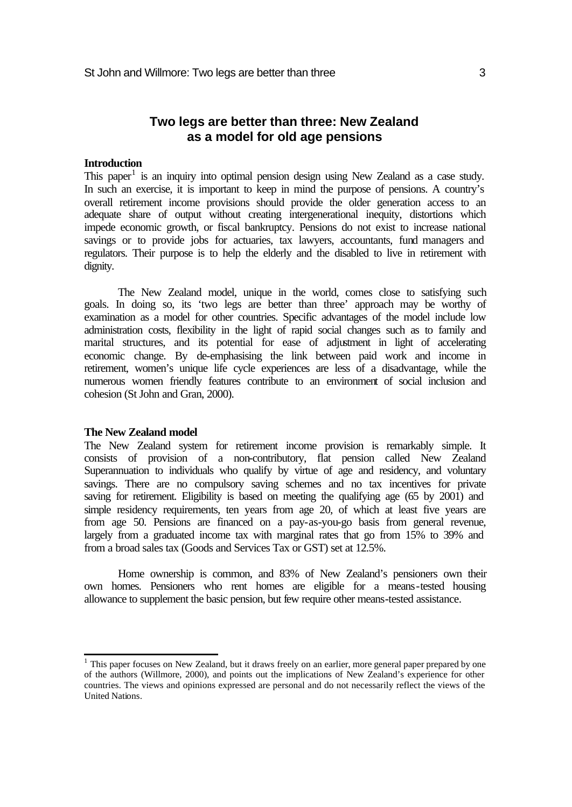# **Two legs are better than three: New Zealand as a model for old age pensions**

# **Introduction**

This paper<sup>1</sup> is an inquiry into optimal pension design using New Zealand as a case study. In such an exercise, it is important to keep in mind the purpose of pensions. A country's overall retirement income provisions should provide the older generation access to an adequate share of output without creating intergenerational inequity, distortions which impede economic growth, or fiscal bankruptcy. Pensions do not exist to increase national savings or to provide jobs for actuaries, tax lawyers, accountants, fund managers and regulators. Their purpose is to help the elderly and the disabled to live in retirement with dignity.

The New Zealand model, unique in the world, comes close to satisfying such goals. In doing so, its 'two legs are better than three' approach may be worthy of examination as a model for other countries. Specific advantages of the model include low administration costs, flexibility in the light of rapid social changes such as to family and marital structures, and its potential for ease of adjustment in light of accelerating economic change. By de-emphasising the link between paid work and income in retirement, women's unique life cycle experiences are less of a disadvantage, while the numerous women friendly features contribute to an environment of social inclusion and cohesion (St John and Gran, 2000).

#### **The New Zealand model**

l

The New Zealand system for retirement income provision is remarkably simple. It consists of provision of a non-contributory, flat pension called New Zealand Superannuation to individuals who qualify by virtue of age and residency, and voluntary savings. There are no compulsory saving schemes and no tax incentives for private saving for retirement. Eligibility is based on meeting the qualifying age (65 by 2001) and simple residency requirements, ten years from age 20, of which at least five years are from age 50. Pensions are financed on a pay-as-you-go basis from general revenue, largely from a graduated income tax with marginal rates that go from 15% to 39% and from a broad sales tax (Goods and Services Tax or GST) set at 12.5%.

Home ownership is common, and 83% of New Zealand's pensioners own their own homes. Pensioners who rent homes are eligible for a means-tested housing allowance to supplement the basic pension, but few require other means-tested assistance.

<sup>&</sup>lt;sup>1</sup> This paper focuses on New Zealand, but it draws freely on an earlier, more general paper prepared by one of the authors (Willmore, 2000), and points out the implications of New Zealand's experience for other countries. The views and opinions expressed are personal and do not necessarily reflect the views of the United Nations.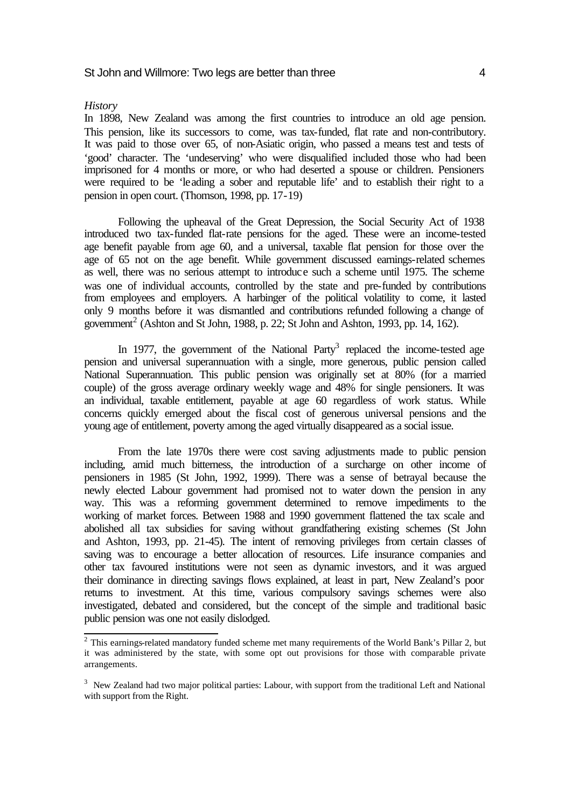#### *History*

In 1898, New Zealand was among the first countries to introduce an old age pension. This pension, like its successors to come, was tax-funded, flat rate and non-contributory. It was paid to those over 65, of non-Asiatic origin, who passed a means test and tests of 'good' character. The 'undeserving' who were disqualified included those who had been imprisoned for 4 months or more, or who had deserted a spouse or children. Pensioners were required to be 'leading a sober and reputable life' and to establish their right to a pension in open court. (Thomson, 1998, pp. 17-19)

Following the upheaval of the Great Depression, the Social Security Act of 1938 introduced two tax-funded flat-rate pensions for the aged. These were an income-tested age benefit payable from age 60, and a universal, taxable flat pension for those over the age of 65 not on the age benefit. While government discussed earnings-related schemes as well, there was no serious attempt to introduce such a scheme until 1975. The scheme was one of individual accounts, controlled by the state and pre-funded by contributions from employees and employers. A harbinger of the political volatility to come, it lasted only 9 months before it was dismantled and contributions refunded following a change of government<sup>2</sup> (Ashton and St John, 1988, p. 22; St John and Ashton, 1993, pp. 14, 162).

In 1977, the government of the National Party<sup>3</sup> replaced the income-tested age pension and universal superannuation with a single, more generous, public pension called National Superannuation. This public pension was originally set at 80% (for a married couple) of the gross average ordinary weekly wage and 48% for single pensioners. It was an individual, taxable entitlement, payable at age 60 regardless of work status. While concerns quickly emerged about the fiscal cost of generous universal pensions and the young age of entitlement, poverty among the aged virtually disappeared as a social issue.

From the late 1970s there were cost saving adjustments made to public pension including, amid much bitterness, the introduction of a surcharge on other income of pensioners in 1985 (St John, 1992, 1999). There was a sense of betrayal because the newly elected Labour government had promised not to water down the pension in any way. This was a reforming government determined to remove impediments to the working of market forces. Between 1988 and 1990 government flattened the tax scale and abolished all tax subsidies for saving without grandfathering existing schemes (St John and Ashton, 1993, pp. 21-45). The intent of removing privileges from certain classes of saving was to encourage a better allocation of resources. Life insurance companies and other tax favoured institutions were not seen as dynamic investors, and it was argued their dominance in directing savings flows explained, at least in part, New Zealand's poor returns to investment. At this time, various compulsory savings schemes were also investigated, debated and considered, but the concept of the simple and traditional basic public pension was one not easily dislodged.

 2 This earnings-related mandatory funded scheme met many requirements of the World Bank's Pillar 2, but it was administered by the state, with some opt out provisions for those with comparable private arrangements.

<sup>&</sup>lt;sup>3</sup> New Zealand had two major political parties: Labour, with support from the traditional Left and National with support from the Right.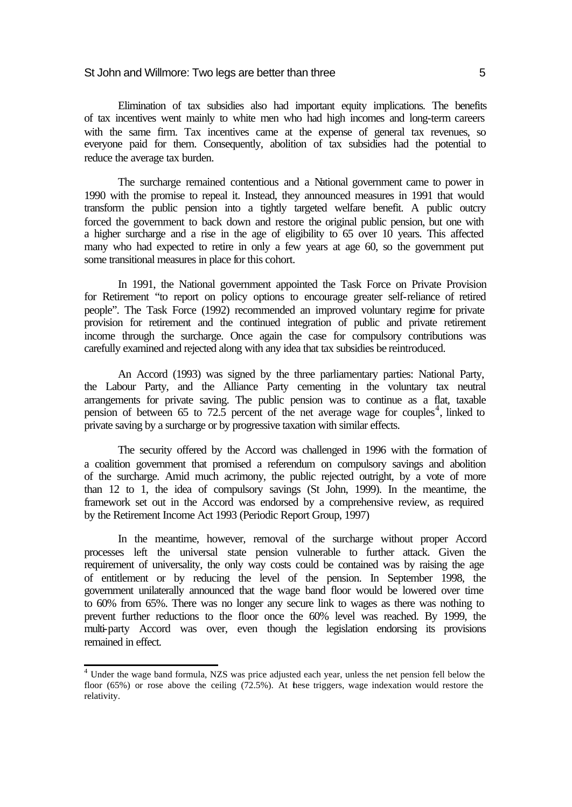Elimination of tax subsidies also had important equity implications. The benefits of tax incentives went mainly to white men who had high incomes and long-term careers with the same firm. Tax incentives came at the expense of general tax revenues, so everyone paid for them. Consequently, abolition of tax subsidies had the potential to reduce the average tax burden.

The surcharge remained contentious and a National government came to power in 1990 with the promise to repeal it. Instead, they announced measures in 1991 that would transform the public pension into a tightly targeted welfare benefit. A public outcry forced the government to back down and restore the original public pension, but one with a higher surcharge and a rise in the age of eligibility to 65 over 10 years. This affected many who had expected to retire in only a few years at age 60, so the government put some transitional measures in place for this cohort.

In 1991, the National government appointed the Task Force on Private Provision for Retirement "to report on policy options to encourage greater self-reliance of retired people". The Task Force (1992) recommended an improved voluntary regime for private provision for retirement and the continued integration of public and private retirement income through the surcharge. Once again the case for compulsory contributions was carefully examined and rejected along with any idea that tax subsidies be reintroduced.

An Accord (1993) was signed by the three parliamentary parties: National Party, the Labour Party, and the Alliance Party cementing in the voluntary tax neutral arrangements for private saving. The public pension was to continue as a flat, taxable pension of between 65 to 72.5 percent of the net average wage for couples<sup>4</sup>, linked to private saving by a surcharge or by progressive taxation with similar effects.

The security offered by the Accord was challenged in 1996 with the formation of a coalition government that promised a referendum on compulsory savings and abolition of the surcharge. Amid much acrimony, the public rejected outright, by a vote of more than 12 to 1, the idea of compulsory savings (St John, 1999). In the meantime, the framework set out in the Accord was endorsed by a comprehensive review, as required by the Retirement Income Act 1993 (Periodic Report Group, 1997)

In the meantime, however, removal of the surcharge without proper Accord processes left the universal state pension vulnerable to further attack. Given the requirement of universality, the only way costs could be contained was by raising the age of entitlement or by reducing the level of the pension. In September 1998, the government unilaterally announced that the wage band floor would be lowered over time to 60% from 65%. There was no longer any secure link to wages as there was nothing to prevent further reductions to the floor once the 60% level was reached. By 1999, the multi-party Accord was over, even though the legislation endorsing its provisions remained in effect.

 4 Under the wage band formula, NZS was price adjusted each year, unless the net pension fell below the floor  $(65%)$  or rose above the ceiling  $(72.5%)$ . At these triggers, wage indexation would restore the relativity.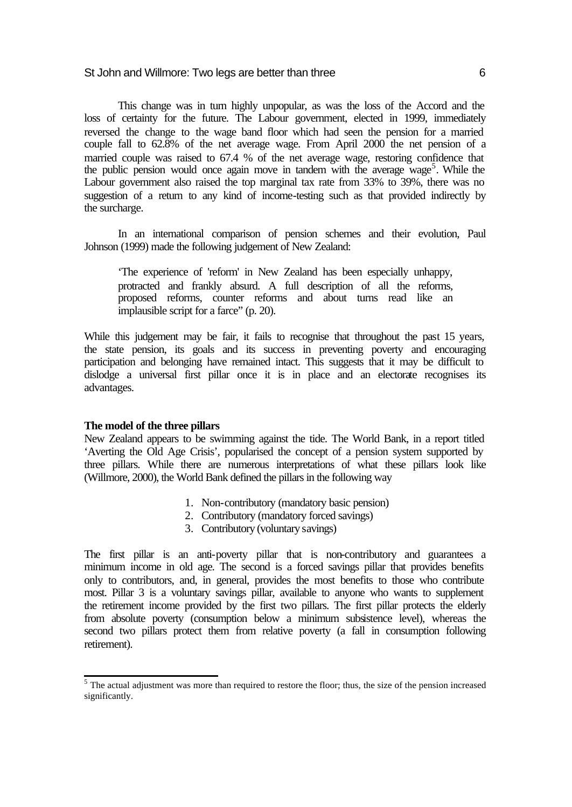This change was in turn highly unpopular, as was the loss of the Accord and the loss of certainty for the future. The Labour government, elected in 1999, immediately reversed the change to the wage band floor which had seen the pension for a married couple fall to 62.8% of the net average wage. From April 2000 the net pension of a married couple was raised to 67.4 % of the net average wage, restoring confidence that the public pension would once again move in tandem with the average wage<sup>5</sup>. While the Labour government also raised the top marginal tax rate from 33% to 39%, there was no suggestion of a return to any kind of income-testing such as that provided indirectly by the surcharge.

In an international comparison of pension schemes and their evolution, Paul Johnson (1999) made the following judgement of New Zealand:

'The experience of 'reform' in New Zealand has been especially unhappy, protracted and frankly absurd. A full description of all the reforms, proposed reforms, counter reforms and about turns read like an implausible script for a farce" (p. 20).

While this judgement may be fair, it fails to recognise that throughout the past 15 years, the state pension, its goals and its success in preventing poverty and encouraging participation and belonging have remained intact. This suggests that it may be difficult to dislodge a universal first pillar once it is in place and an electorate recognises its advantages.

## **The model of the three pillars**

New Zealand appears to be swimming against the tide. The World Bank, in a report titled 'Averting the Old Age Crisis', popularised the concept of a pension system supported by three pillars. While there are numerous interpretations of what these pillars look like (Willmore, 2000), the World Bank defined the pillars in the following way

- 1. Non-contributory (mandatory basic pension)
- 2. Contributory (mandatory forced savings)
- 3. Contributory (voluntary savings)

The first pillar is an anti-poverty pillar that is non-contributory and guarantees a minimum income in old age. The second is a forced savings pillar that provides benefits only to contributors, and, in general, provides the most benefits to those who contribute most. Pillar 3 is a voluntary savings pillar, available to anyone who wants to supplement the retirement income provided by the first two pillars. The first pillar protects the elderly from absolute poverty (consumption below a minimum subsistence level), whereas the second two pillars protect them from relative poverty (a fall in consumption following retirement).

<sup>&</sup>lt;sup>5</sup> The actual adjustment was more than required to restore the floor; thus, the size of the pension increased significantly.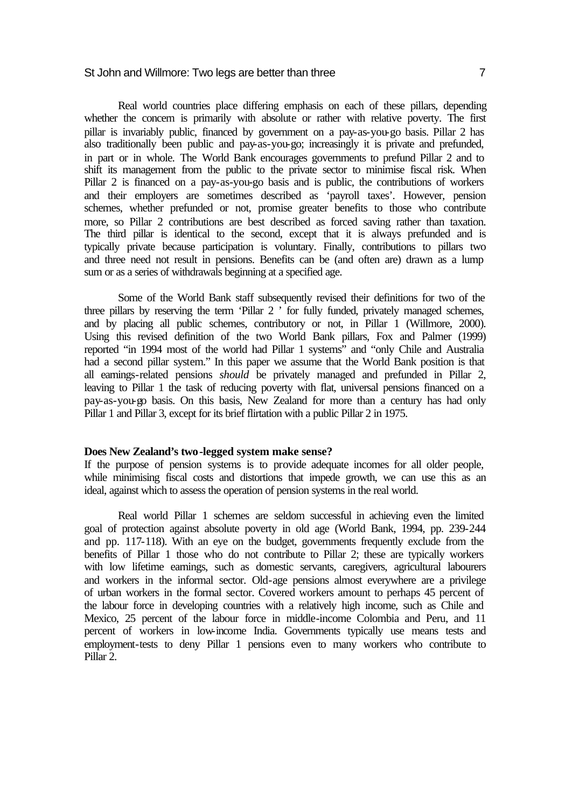#### St John and Willmore: Two legs are better than three  $\overline{7}$

Real world countries place differing emphasis on each of these pillars, depending whether the concern is primarily with absolute or rather with relative poverty. The first pillar is invariably public, financed by government on a pay-as-you-go basis. Pillar 2 has also traditionally been public and pay-as-you-go; increasingly it is private and prefunded, in part or in whole. The World Bank encourages governments to prefund Pillar 2 and to shift its management from the public to the private sector to minimise fiscal risk. When Pillar 2 is financed on a pay-as-you-go basis and is public, the contributions of workers and their employers are sometimes described as 'payroll taxes'. However, pension schemes, whether prefunded or not, promise greater benefits to those who contribute more, so Pillar 2 contributions are best described as forced saving rather than taxation. The third pillar is identical to the second, except that it is always prefunded and is typically private because participation is voluntary. Finally, contributions to pillars two and three need not result in pensions. Benefits can be (and often are) drawn as a lump sum or as a series of withdrawals beginning at a specified age.

Some of the World Bank staff subsequently revised their definitions for two of the three pillars by reserving the term 'Pillar 2 ' for fully funded, privately managed schemes, and by placing all public schemes, contributory or not, in Pillar 1 (Willmore, 2000). Using this revised definition of the two World Bank pillars, Fox and Palmer (1999) reported "in 1994 most of the world had Pillar 1 systems" and "only Chile and Australia had a second pillar system." In this paper we assume that the World Bank position is that all earnings-related pensions *should* be privately managed and prefunded in Pillar 2, leaving to Pillar 1 the task of reducing poverty with flat, universal pensions financed on a pay-as-you-go basis. On this basis, New Zealand for more than a century has had only Pillar 1 and Pillar 3, except for its brief flirtation with a public Pillar 2 in 1975.

## **Does New Zealand's two-legged system make sense?**

If the purpose of pension systems is to provide adequate incomes for all older people, while minimising fiscal costs and distortions that impede growth, we can use this as an ideal, against which to assess the operation of pension systems in the real world.

Real world Pillar 1 schemes are seldom successful in achieving even the limited goal of protection against absolute poverty in old age (World Bank, 1994, pp. 239-244 and pp. 117-118). With an eye on the budget, governments frequently exclude from the benefits of Pillar 1 those who do not contribute to Pillar 2; these are typically workers with low lifetime earnings, such as domestic servants, caregivers, agricultural labourers and workers in the informal sector. Old-age pensions almost everywhere are a privilege of urban workers in the formal sector. Covered workers amount to perhaps 45 percent of the labour force in developing countries with a relatively high income, such as Chile and Mexico, 25 percent of the labour force in middle-income Colombia and Peru, and 11 percent of workers in low-income India. Governments typically use means tests and employment-tests to deny Pillar 1 pensions even to many workers who contribute to Pillar 2.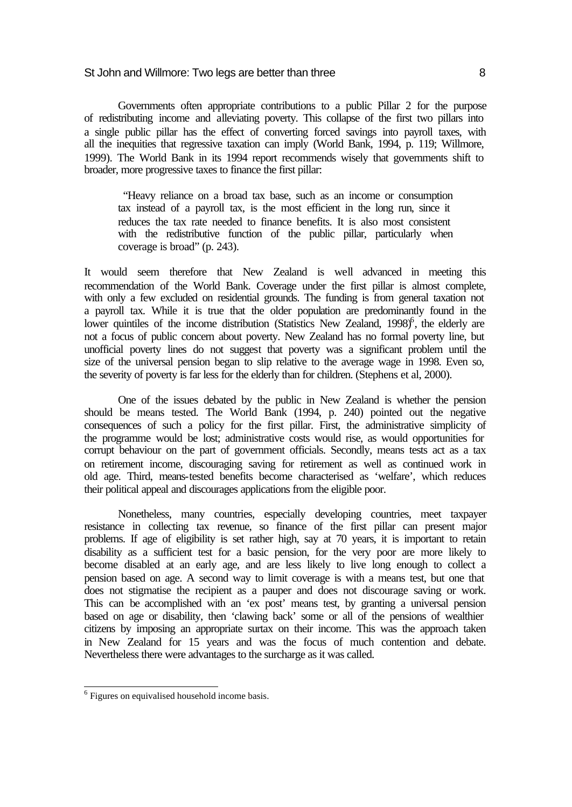Governments often appropriate contributions to a public Pillar 2 for the purpose of redistributing income and alleviating poverty. This collapse of the first two pillars into a single public pillar has the effect of converting forced savings into payroll taxes, with all the inequities that regressive taxation can imply (World Bank, 1994, p. 119; Willmore, 1999). The World Bank in its 1994 report recommends wisely that governments shift to broader, more progressive taxes to finance the first pillar:

 "Heavy reliance on a broad tax base, such as an income or consumption tax instead of a payroll tax, is the most efficient in the long run, since it reduces the tax rate needed to finance benefits. It is also most consistent with the redistributive function of the public pillar, particularly when coverage is broad" (p. 243).

It would seem therefore that New Zealand is well advanced in meeting this recommendation of the World Bank. Coverage under the first pillar is almost complete, with only a few excluded on residential grounds. The funding is from general taxation not a payroll tax. While it is true that the older population are predominantly found in the lower quintiles of the income distribution (Statistics New Zealand,  $1998$ <sup>6</sup>, the elderly are not a focus of public concern about poverty. New Zealand has no formal poverty line, but unofficial poverty lines do not suggest that poverty was a significant problem until the size of the universal pension began to slip relative to the average wage in 1998. Even so, the severity of poverty is far less for the elderly than for children. (Stephens et al, 2000).

One of the issues debated by the public in New Zealand is whether the pension should be means tested. The World Bank (1994, p. 240) pointed out the negative consequences of such a policy for the first pillar. First, the administrative simplicity of the programme would be lost; administrative costs would rise, as would opportunities for corrupt behaviour on the part of government officials. Secondly, means tests act as a tax on retirement income, discouraging saving for retirement as well as continued work in old age. Third, means-tested benefits become characterised as 'welfare', which reduces their political appeal and discourages applications from the eligible poor.

Nonetheless, many countries, especially developing countries, meet taxpayer resistance in collecting tax revenue, so finance of the first pillar can present major problems. If age of eligibility is set rather high, say at 70 years, it is important to retain disability as a sufficient test for a basic pension, for the very poor are more likely to become disabled at an early age, and are less likely to live long enough to collect a pension based on age. A second way to limit coverage is with a means test, but one that does not stigmatise the recipient as a pauper and does not discourage saving or work. This can be accomplished with an 'ex post' means test, by granting a universal pension based on age or disability, then 'clawing back' some or all of the pensions of wealthier citizens by imposing an appropriate surtax on their income. This was the approach taken in New Zealand for 15 years and was the focus of much contention and debate. Nevertheless there were advantages to the surcharge as it was called.

 6 Figures on equivalised household income basis.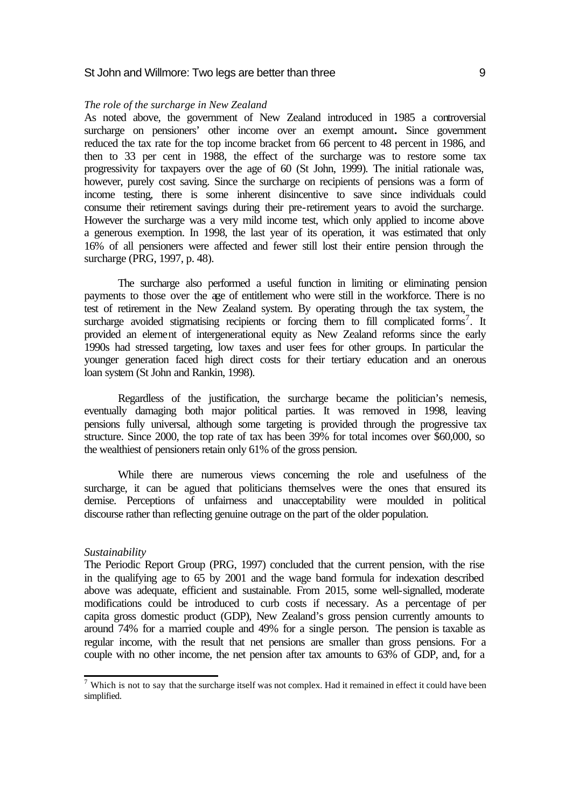#### *The role of the surcharge in New Zealand*

As noted above, the government of New Zealand introduced in 1985 a controversial surcharge on pensioners' other income over an exempt amount**.** Since government reduced the tax rate for the top income bracket from 66 percent to 48 percent in 1986, and then to 33 per cent in 1988, the effect of the surcharge was to restore some tax progressivity for taxpayers over the age of 60 (St John, 1999). The initial rationale was, however, purely cost saving. Since the surcharge on recipients of pensions was a form of income testing, there is some inherent disincentive to save since individuals could consume their retirement savings during their pre-retirement years to avoid the surcharge. However the surcharge was a very mild income test, which only applied to income above a generous exemption. In 1998, the last year of its operation, it was estimated that only 16% of all pensioners were affected and fewer still lost their entire pension through the surcharge (PRG, 1997, p. 48).

The surcharge also performed a useful function in limiting or eliminating pension payments to those over the age of entitlement who were still in the workforce. There is no test of retirement in the New Zealand system. By operating through the tax system, the surcharge avoided stigmatising recipients or forcing them to fill complicated forms<sup>7</sup>. It provided an element of intergenerational equity as New Zealand reforms since the early 1990s had stressed targeting, low taxes and user fees for other groups. In particular the younger generation faced high direct costs for their tertiary education and an onerous loan system (St John and Rankin, 1998).

Regardless of the justification, the surcharge became the politician's nemesis, eventually damaging both major political parties. It was removed in 1998, leaving pensions fully universal, although some targeting is provided through the progressive tax structure. Since 2000, the top rate of tax has been 39% for total incomes over \$60,000, so the wealthiest of pensioners retain only 61% of the gross pension.

While there are numerous views concerning the role and usefulness of the surcharge, it can be agued that politicians themselves were the ones that ensured its demise. Perceptions of unfairness and unacceptability were moulded in political discourse rather than reflecting genuine outrage on the part of the older population.

## *Sustainability*

The Periodic Report Group (PRG, 1997) concluded that the current pension, with the rise in the qualifying age to 65 by 2001 and the wage band formula for indexation described above was adequate, efficient and sustainable. From 2015, some well-signalled, moderate modifications could be introduced to curb costs if necessary. As a percentage of per capita gross domestic product (GDP), New Zealand's gross pension currently amounts to around 74% for a married couple and 49% for a single person. The pension is taxable as regular income, with the result that net pensions are smaller than gross pensions. For a couple with no other income, the net pension after tax amounts to 63% of GDP, and, for a

 7 Which is not to say that the surcharge itself was not complex. Had it remained in effect it could have been simplified.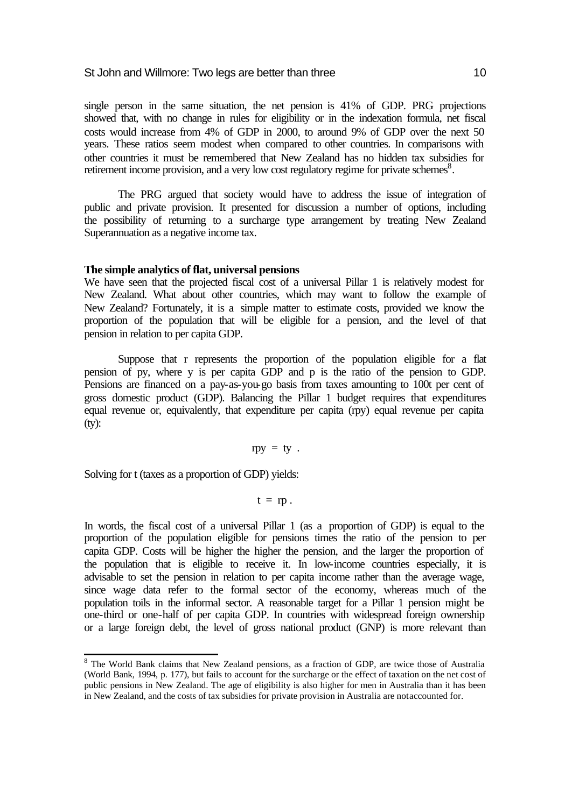single person in the same situation, the net pension is 41% of GDP. PRG projections showed that, with no change in rules for eligibility or in the indexation formula, net fiscal costs would increase from 4% of GDP in 2000, to around 9% of GDP over the next 50 years. These ratios seem modest when compared to other countries. In comparisons with other countries it must be remembered that New Zealand has no hidden tax subsidies for retirement income provision, and a very low cost regulatory regime for private schemes<sup>8</sup>.

The PRG argued that society would have to address the issue of integration of public and private provision. It presented for discussion a number of options, including the possibility of returning to a surcharge type arrangement by treating New Zealand Superannuation as a negative income tax.

#### **The simple analytics of flat, universal pensions**

We have seen that the projected fiscal cost of a universal Pillar 1 is relatively modest for New Zealand. What about other countries, which may want to follow the example of New Zealand? Fortunately, it is a simple matter to estimate costs, provided we know the proportion of the population that will be eligible for a pension, and the level of that pension in relation to per capita GDP.

Suppose that r represents the proportion of the population eligible for a flat pension of py, where y is per capita GDP and p is the ratio of the pension to GDP. Pensions are financed on a pay-as-you-go basis from taxes amounting to 100t per cent of gross domestic product (GDP). Balancing the Pillar 1 budget requires that expenditures equal revenue or, equivalently, that expenditure per capita (rpy) equal revenue per capita (ty):

## $rpy = ty$ .

Solving for t (taxes as a proportion of GDP) yields:

l

 $t = rp$ .

In words, the fiscal cost of a universal Pillar 1 (as a proportion of GDP) is equal to the proportion of the population eligible for pensions times the ratio of the pension to per capita GDP. Costs will be higher the higher the pension, and the larger the proportion of the population that is eligible to receive it. In low-income countries especially, it is advisable to set the pension in relation to per capita income rather than the average wage, since wage data refer to the formal sector of the economy, whereas much of the population toils in the informal sector. A reasonable target for a Pillar 1 pension might be one-third or one-half of per capita GDP. In countries with widespread foreign ownership or a large foreign debt, the level of gross national product (GNP) is more relevant than

<sup>&</sup>lt;sup>8</sup> The World Bank claims that New Zealand pensions, as a fraction of GDP, are twice those of Australia (World Bank, 1994, p. 177), but fails to account for the surcharge or the effect of taxation on the net cost of public pensions in New Zealand. The age of eligibility is also higher for men in Australia than it has been in New Zealand, and the costs of tax subsidies for private provision in Australia are not accounted for.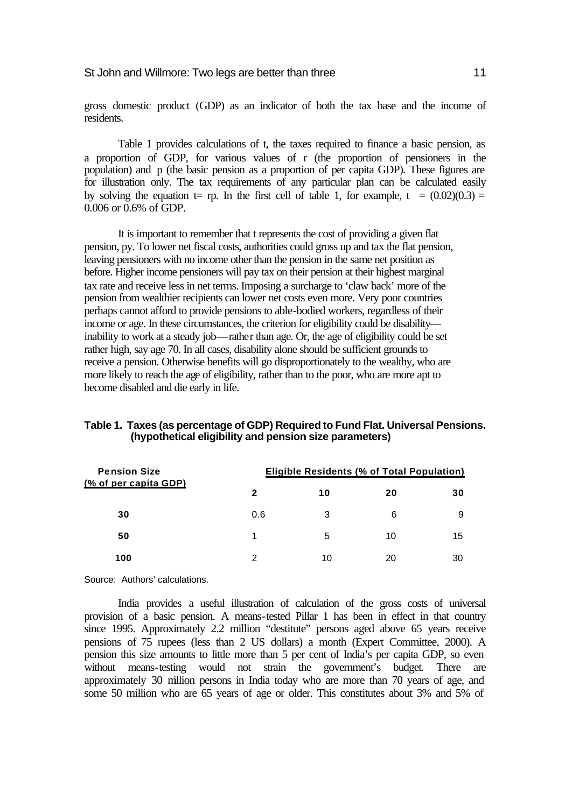#### St John and Willmore: Two legs are better than three 11 metal will be 11

gross domestic product (GDP) as an indicator of both the tax base and the income of residents.

Table 1 provides calculations of t, the taxes required to finance a basic pension, as a proportion of GDP, for various values of r (the proportion of pensioners in the population) and p (the basic pension as a proportion of per capita GDP). These figures are for illustration only. The tax requirements of any particular plan can be calculated easily by solving the equation  $t=$  rp. In the first cell of table 1, for example,  $t = (0.02)(0.3) =$ 0.006 or 0.6% of GDP.

It is important to remember that t represents the cost of providing a given flat pension, py. To lower net fiscal costs, authorities could gross up and tax the flat pension, leaving pensioners with no income other than the pension in the same net position as before. Higher income pensioners will pay tax on their pension at their highest marginal tax rate and receive less in net terms. Imposing a surcharge to 'claw back' more of the pension from wealthier recipients can lower net costs even more. Very poor countries perhaps cannot afford to provide pensions to able-bodied workers, regardless of their income or age. In these circumstances, the criterion for eligibility could be disability inability to work at a steady job—rather than age. Or, the age of eligibility could be set rather high, say age 70. In all cases, disability alone should be sufficient grounds to receive a pension. Otherwise benefits will go disproportionately to the wealthy, who are more likely to reach the age of eligibility, rather than to the poor, who are more apt to become disabled and die early in life.

# **Table 1. Taxes (as percentage of GDP) Required to Fund Flat. Universal Pensions. (hypothetical eligibility and pension size parameters)**

| <b>Pension Size</b><br>(% of per capita GDP) | <b>Eligible Residents (% of Total Population)</b> |    |    |    |  |
|----------------------------------------------|---------------------------------------------------|----|----|----|--|
|                                              | 2                                                 | 10 | 20 | 30 |  |
| 30                                           | 0.6                                               | 3  | 6  | 9  |  |
| 50                                           |                                                   | 5  | 10 | 15 |  |
| 100                                          | 2                                                 | 10 | 20 | 30 |  |

Source: Authors' calculations.

India provides a useful illustration of calculation of the gross costs of universal provision of a basic pension. A means-tested Pillar 1 has been in effect in that country since 1995. Approximately 2.2 million "destitute" persons aged above 65 years receive pensions of 75 rupees (less than 2 US dollars) a month (Expert Committee, 2000). A pension this size amounts to little more than 5 per cent of India's per capita GDP, so even without means-testing would not strain the government's budget. There are approximately 30 million persons in India today who are more than 70 years of age, and some 50 million who are 65 years of age or older. This constitutes about 3% and 5% of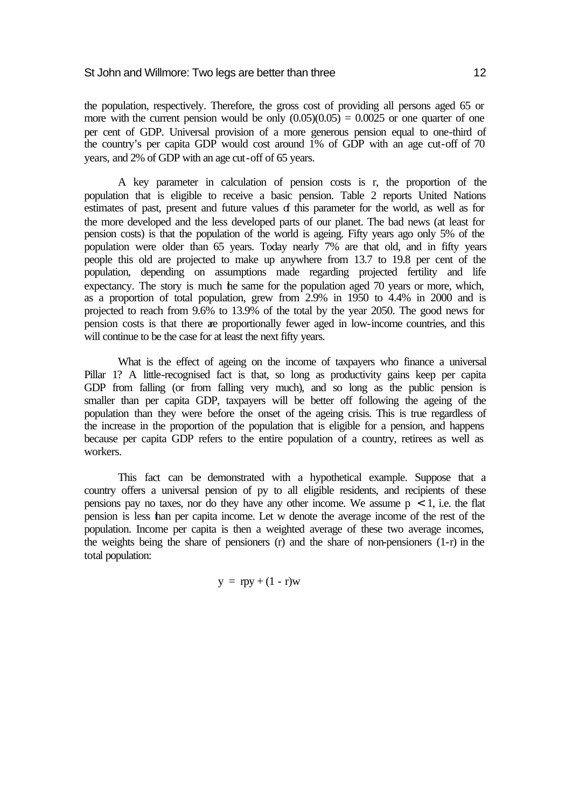the population, respectively. Therefore, the gross cost of providing all persons aged 65 or more with the current pension would be only  $(0.05)(0.05) = 0.0025$  or one quarter of one per cent of GDP. Universal provision of a more generous pension equal to one-third of the country's per capita GDP would cost around 1% of GDP with an age cut-off of 70 years, and 2% of GDP with an age cut-off of 65 years.

A key parameter in calculation of pension costs is r, the proportion of the population that is eligible to receive a basic pension. Table 2 reports United Nations estimates of past, present and future values of this parameter for the world, as well as for the more developed and the less developed parts of our planet. The bad news (at least for pension costs) is that the population of the world is ageing. Fifty years ago only 5% of the population were older than 65 years. Today nearly 7% are that old, and in fifty years people this old are projected to make up anywhere from 13.7 to 19.8 per cent of the population, depending on assumptions made regarding projected fertility and life expectancy. The story is much the same for the population aged 70 years or more, which, as a proportion of total population, grew from 2.9% in 1950 to 4.4% in 2000 and is projected to reach from 9.6% to 13.9% of the total by the year 2050. The good news for pension costs is that there are proportionally fewer aged in low-income countries, and this will continue to be the case for at least the next fifty years.

What is the effect of ageing on the income of taxpayers who finance a universal Pillar 1? A little-recognised fact is that, so long as productivity gains keep per capita GDP from falling (or from falling very much), and so long as the public pension is smaller than per capita GDP, taxpayers will be better off following the ageing of the population than they were before the onset of the ageing crisis. This is true regardless of the increase in the proportion of the population that is eligible for a pension, and happens because per capita GDP refers to the entire population of a country, retirees as well as workers.

This fact can be demonstrated with a hypothetical example. Suppose that a country offers a universal pension of py to all eligible residents, and recipients of these pensions pay no taxes, nor do they have any other income. We assume  $p < 1$ , i.e. the flat pension is less than per capita income. Let w denote the average income of the rest of the population. Income per capita is then a weighted average of these two average incomes, the weights being the share of pensioners (r) and the share of non-pensioners (1-r) in the total population:

$$
y = rpy + (1 - r)w
$$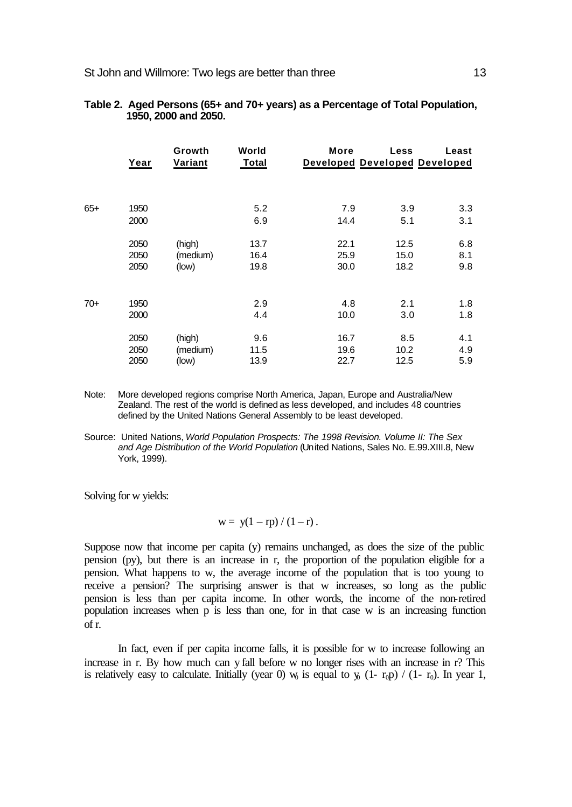|       | Year | Growth<br>Variant | World<br>Total | More | <b>Less</b><br><b>Developed Developed Developed</b> | Least |
|-------|------|-------------------|----------------|------|-----------------------------------------------------|-------|
|       |      |                   |                |      |                                                     |       |
| $65+$ | 1950 |                   | 5.2            | 7.9  | 3.9                                                 | 3.3   |
|       | 2000 |                   | 6.9            | 14.4 | 5.1                                                 | 3.1   |
|       | 2050 | (high)            | 13.7           | 22.1 | 12.5                                                | 6.8   |
|       | 2050 | (medium)          | 16.4           | 25.9 | 15.0                                                | 8.1   |
|       | 2050 | (low)             | 19.8           | 30.0 | 18.2                                                | 9.8   |
|       |      |                   |                |      |                                                     |       |
| $70+$ | 1950 |                   | 2.9            | 4.8  | 2.1                                                 | 1.8   |
|       | 2000 |                   | 4.4            | 10.0 | 3.0                                                 | 1.8   |
|       | 2050 | (high)            | 9.6            | 16.7 | 8.5                                                 | 4.1   |
|       | 2050 | (medium)          | 11.5           | 19.6 | 10.2                                                | 4.9   |
|       | 2050 | (low)             | 13.9           | 22.7 | 12.5                                                | 5.9   |

| Table 2. Aged Persons (65+ and 70+ years) as a Percentage of Total Population, |
|--------------------------------------------------------------------------------|
| 1950, 2000 and 2050.                                                           |

- Note: More developed regions comprise North America, Japan, Europe and Australia/New Zealand. The rest of the world is defined as less developed, and includes 48 countries defined by the United Nations General Assembly to be least developed.
- Source: United Nations, *World Population Prospects: The 1998 Revision. Volume II: The Sex and Age Distribution of the World Population* (United Nations, Sales No. E.99.XIII.8, New York, 1999).

Solving for w yields:

$$
w = y(1 - rp) / (1 - r).
$$

Suppose now that income per capita (y) remains unchanged, as does the size of the public pension (py), but there is an increase in r, the proportion of the population eligible for a pension. What happens to w, the average income of the population that is too young to receive a pension? The surprising answer is that w increases, so long as the public pension is less than per capita income. In other words, the income of the non-retired population increases when p is less than one, for in that case w is an increasing function of r.

In fact, even if per capita income falls, it is possible for w to increase following an increase in r. By how much can y fall before w no longer rises with an increase in r? This is relatively easy to calculate. Initially (year 0)  $w_0$  is equal to  $w_0$  (1-  $r_0$ ) / (1-  $r_0$ ). In year 1,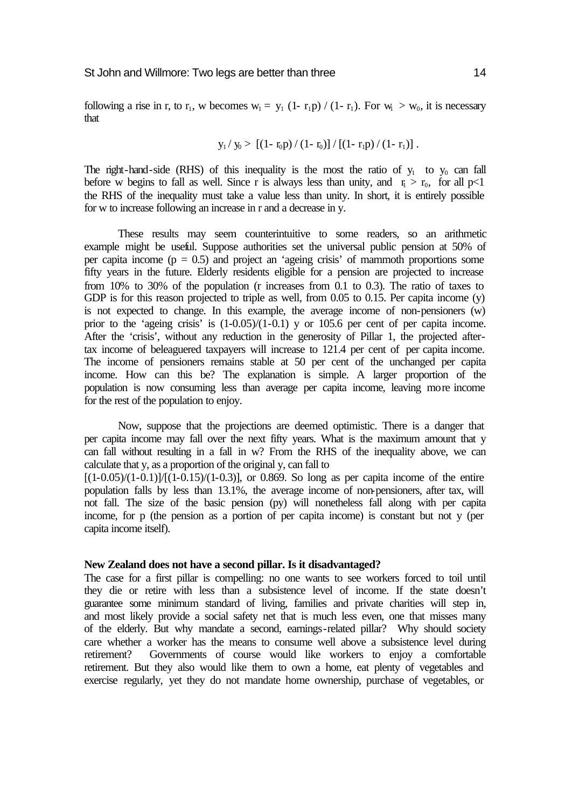$$
y_1 / y_0 > [(1 - r_0 p) / (1 - r_0)] / [(1 - r_1 p) / (1 - r_1)].
$$

The right-hand-side (RHS) of this inequality is the most the ratio of  $y_1$  to  $y_0$  can fall before w begins to fall as well. Since r is always less than unity, and  $r_1 > r_0$ , for all p<1 the RHS of the inequality must take a value less than unity. In short, it is entirely possible for w to increase following an increase in r and a decrease in y.

These results may seem counterintuitive to some readers, so an arithmetic example might be useful. Suppose authorities set the universal public pension at 50% of per capita income  $(p = 0.5)$  and project an 'ageing crisis' of mammoth proportions some fifty years in the future. Elderly residents eligible for a pension are projected to increase from 10% to 30% of the population (r increases from 0.1 to 0.3). The ratio of taxes to GDP is for this reason projected to triple as well, from 0.05 to 0.15. Per capita income (y) is not expected to change. In this example, the average income of non-pensioners (w) prior to the 'ageing crisis' is (1-0.05)/(1-0.1) y or 105.6 per cent of per capita income. After the 'crisis', without any reduction in the generosity of Pillar 1, the projected aftertax income of beleaguered taxpayers will increase to 121.4 per cent of per capita income. The income of pensioners remains stable at 50 per cent of the unchanged per capita income. How can this be? The explanation is simple. A larger proportion of the population is now consuming less than average per capita income, leaving more income for the rest of the population to enjoy.

Now, suppose that the projections are deemed optimistic. There is a danger that per capita income may fall over the next fifty years. What is the maximum amount that y can fall without resulting in a fall in w? From the RHS of the inequality above, we can calculate that y, as a proportion of the original y, can fall to

 $[(1-0.05)/(1-0.1)]/[(1-0.15)/(1-0.3)]$ , or 0.869. So long as per capita income of the entire population falls by less than 13.1%, the average income of non-pensioners, after tax, will not fall. The size of the basic pension (py) will nonetheless fall along with per capita income, for p (the pension as a portion of per capita income) is constant but not y (per capita income itself).

## **New Zealand does not have a second pillar. Is it disadvantaged?**

The case for a first pillar is compelling: no one wants to see workers forced to toil until they die or retire with less than a subsistence level of income. If the state doesn't guarantee some minimum standard of living, families and private charities will step in, and most likely provide a social safety net that is much less even, one that misses many of the elderly. But why mandate a second, earnings-related pillar? Why should society care whether a worker has the means to consume well above a subsistence level during retirement? Governments of course would like workers to enjoy a comfortable retirement. But they also would like them to own a home, eat plenty of vegetables and exercise regularly, yet they do not mandate home ownership, purchase of vegetables, or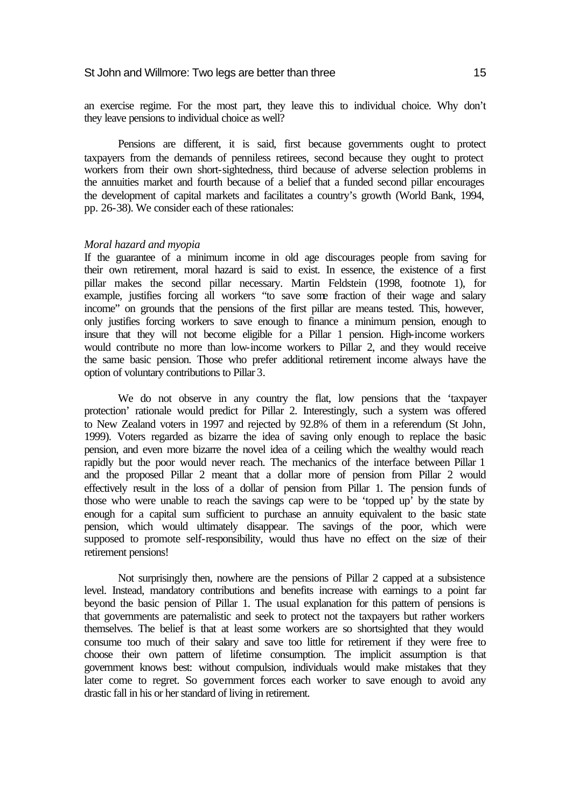an exercise regime. For the most part, they leave this to individual choice. Why don't they leave pensions to individual choice as well?

Pensions are different, it is said, first because governments ought to protect taxpayers from the demands of penniless retirees, second because they ought to protect workers from their own short-sightedness, third because of adverse selection problems in the annuities market and fourth because of a belief that a funded second pillar encourages the development of capital markets and facilitates a country's growth (World Bank, 1994, pp. 26-38). We consider each of these rationales:

#### *Moral hazard and myopia*

If the guarantee of a minimum income in old age discourages people from saving for their own retirement, moral hazard is said to exist. In essence, the existence of a first pillar makes the second pillar necessary. Martin Feldstein (1998, footnote 1), for example, justifies forcing all workers "to save some fraction of their wage and salary income" on grounds that the pensions of the first pillar are means tested. This, however, only justifies forcing workers to save enough to finance a minimum pension, enough to insure that they will not become eligible for a Pillar 1 pension. High-income workers would contribute no more than low-income workers to Pillar 2, and they would receive the same basic pension. Those who prefer additional retirement income always have the option of voluntary contributions to Pillar 3.

We do not observe in any country the flat, low pensions that the 'taxpayer protection' rationale would predict for Pillar 2. Interestingly, such a system was offered to New Zealand voters in 1997 and rejected by 92.8% of them in a referendum (St John, 1999). Voters regarded as bizarre the idea of saving only enough to replace the basic pension, and even more bizarre the novel idea of a ceiling which the wealthy would reach rapidly but the poor would never reach. The mechanics of the interface between Pillar 1 and the proposed Pillar 2 meant that a dollar more of pension from Pillar 2 would effectively result in the loss of a dollar of pension from Pillar 1. The pension funds of those who were unable to reach the savings cap were to be 'topped up' by the state by enough for a capital sum sufficient to purchase an annuity equivalent to the basic state pension, which would ultimately disappear. The savings of the poor, which were supposed to promote self-responsibility, would thus have no effect on the size of their retirement pensions!

Not surprisingly then, nowhere are the pensions of Pillar 2 capped at a subsistence level. Instead, mandatory contributions and benefits increase with earnings to a point far beyond the basic pension of Pillar 1. The usual explanation for this pattern of pensions is that governments are paternalistic and seek to protect not the taxpayers but rather workers themselves. The belief is that at least some workers are so shortsighted that they would consume too much of their salary and save too little for retirement if they were free to choose their own pattern of lifetime consumption. The implicit assumption is that government knows best: without compulsion, individuals would make mistakes that they later come to regret. So government forces each worker to save enough to avoid any drastic fall in his or her standard of living in retirement.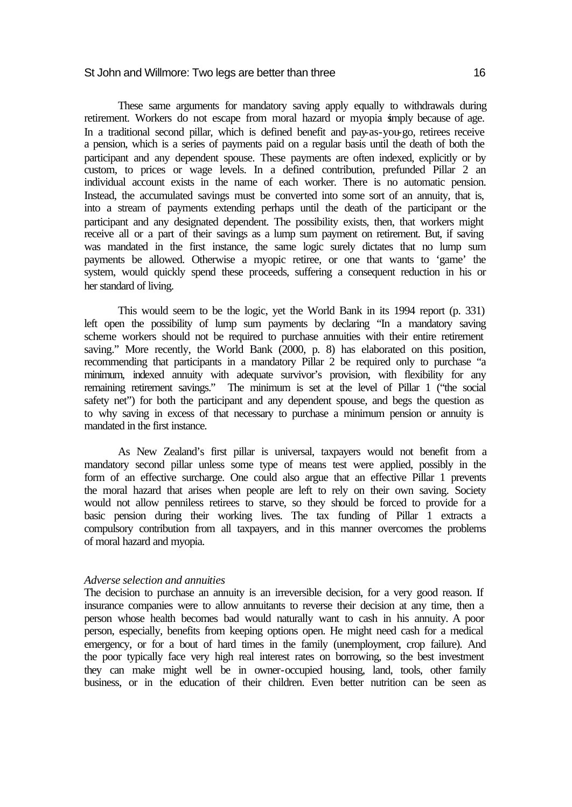These same arguments for mandatory saving apply equally to withdrawals during retirement. Workers do not escape from moral hazard or myopia simply because of age. In a traditional second pillar, which is defined benefit and pay-as-you-go, retirees receive a pension, which is a series of payments paid on a regular basis until the death of both the participant and any dependent spouse. These payments are often indexed, explicitly or by custom, to prices or wage levels. In a defined contribution, prefunded Pillar 2 an individual account exists in the name of each worker. There is no automatic pension. Instead, the accumulated savings must be converted into some sort of an annuity, that is, into a stream of payments extending perhaps until the death of the participant or the participant and any designated dependent. The possibility exists, then, that workers might receive all or a part of their savings as a lump sum payment on retirement. But, if saving was mandated in the first instance, the same logic surely dictates that no lump sum payments be allowed. Otherwise a myopic retiree, or one that wants to 'game' the system, would quickly spend these proceeds, suffering a consequent reduction in his or her standard of living.

This would seem to be the logic, yet the World Bank in its 1994 report (p. 331) left open the possibility of lump sum payments by declaring "In a mandatory saving scheme workers should not be required to purchase annuities with their entire retirement saving." More recently, the World Bank (2000, p. 8) has elaborated on this position. recommending that participants in a mandatory Pillar 2 be required only to purchase "a minimum, indexed annuity with adequate survivor's provision, with flexibility for any remaining retirement savings." The minimum is set at the level of Pillar 1 ("the social safety net") for both the participant and any dependent spouse, and begs the question as to why saving in excess of that necessary to purchase a minimum pension or annuity is mandated in the first instance.

As New Zealand's first pillar is universal, taxpayers would not benefit from a mandatory second pillar unless some type of means test were applied, possibly in the form of an effective surcharge. One could also argue that an effective Pillar 1 prevents the moral hazard that arises when people are left to rely on their own saving. Society would not allow penniless retirees to starve, so they should be forced to provide for a basic pension during their working lives. The tax funding of Pillar 1 extracts a compulsory contribution from all taxpayers, and in this manner overcomes the problems of moral hazard and myopia.

#### *Adverse selection and annuities*

The decision to purchase an annuity is an irreversible decision, for a very good reason. If insurance companies were to allow annuitants to reverse their decision at any time, then a person whose health becomes bad would naturally want to cash in his annuity. A poor person, especially, benefits from keeping options open. He might need cash for a medical emergency, or for a bout of hard times in the family (unemployment, crop failure). And the poor typically face very high real interest rates on borrowing, so the best investment they can make might well be in owner-occupied housing, land, tools, other family business, or in the education of their children. Even better nutrition can be seen as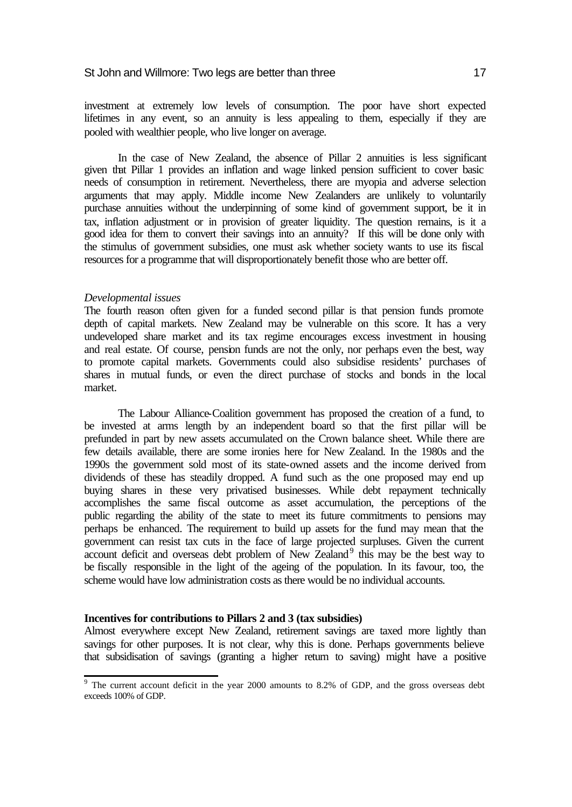investment at extremely low levels of consumption. The poor have short expected lifetimes in any event, so an annuity is less appealing to them, especially if they are pooled with wealthier people, who live longer on average.

In the case of New Zealand, the absence of Pillar 2 annuities is less significant given that Pillar 1 provides an inflation and wage linked pension sufficient to cover basic needs of consumption in retirement. Nevertheless, there are myopia and adverse selection arguments that may apply. Middle income New Zealanders are unlikely to voluntarily purchase annuities without the underpinning of some kind of government support, be it in tax, inflation adjustment or in provision of greater liquidity. The question remains, is it a good idea for them to convert their savings into an annuity? If this will be done only with the stimulus of government subsidies, one must ask whether society wants to use its fiscal resources for a programme that will disproportionately benefit those who are better off.

#### *Developmental issues*

The fourth reason often given for a funded second pillar is that pension funds promote depth of capital markets. New Zealand may be vulnerable on this score. It has a very undeveloped share market and its tax regime encourages excess investment in housing and real estate. Of course, pension funds are not the only, nor perhaps even the best, way to promote capital markets. Governments could also subsidise residents' purchases of shares in mutual funds, or even the direct purchase of stocks and bonds in the local market.

The Labour Alliance-Coalition government has proposed the creation of a fund, to be invested at arms length by an independent board so that the first pillar will be prefunded in part by new assets accumulated on the Crown balance sheet. While there are few details available, there are some ironies here for New Zealand. In the 1980s and the 1990s the government sold most of its state-owned assets and the income derived from dividends of these has steadily dropped. A fund such as the one proposed may end up buying shares in these very privatised businesses. While debt repayment technically accomplishes the same fiscal outcome as asset accumulation, the perceptions of the public regarding the ability of the state to meet its future commitments to pensions may perhaps be enhanced. The requirement to build up assets for the fund may mean that the government can resist tax cuts in the face of large projected surpluses. Given the current  $\alpha$  account deficit and overseas debt problem of New Zealand<sup>9</sup> this may be the best way to be fiscally responsible in the light of the ageing of the population. In its favour, too, the scheme would have low administration costs as there would be no individual accounts.

#### **Incentives for contributions to Pillars 2 and 3 (tax subsidies)**

Almost everywhere except New Zealand, retirement savings are taxed more lightly than savings for other purposes. It is not clear, why this is done. Perhaps governments believe that subsidisation of savings (granting a higher return to saving) might have a positive

<sup>&</sup>lt;sup>9</sup> The current account deficit in the year 2000 amounts to 8.2% of GDP, and the gross overseas debt exceeds 100% of GDP.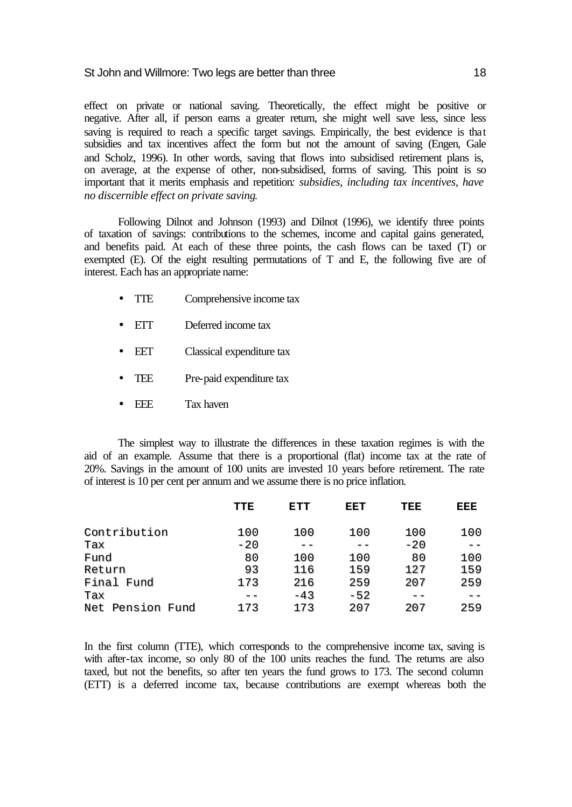effect on private or national saving. Theoretically, the effect might be positive or negative. After all, if person earns a greater return, she might well save less, since less saving is required to reach a specific target savings. Empirically, the best evidence is that subsidies and tax incentives affect the form but not the amount of saving (Engen, Gale and Scholz, 1996). In other words, saving that flows into subsidised retirement plans is, on average, at the expense of other, non-subsidised, forms of saving. This point is so important that it merits emphasis and repetition*: subsidies, including tax incentives, have no discernible effect on private saving*.

Following Dilnot and Johnson (1993) and Dilnot (1996), we identify three points of taxation of savings: contributions to the schemes, income and capital gains generated, and benefits paid. At each of these three points, the cash flows can be taxed (T) or exempted (E). Of the eight resulting permutations of T and E, the following five are of interest. Each has an appropriate name:

- TTE Comprehensive income tax
- ETT Deferred income tax
- EET Classical expenditure tax
- TEE Pre-paid expenditure tax
- EEE Tax haven

The simplest way to illustrate the differences in these taxation regimes is with the aid of an example. Assume that there is a proportional (flat) income tax at the rate of 20%. Savings in the amount of 100 units are invested 10 years before retirement. The rate of interest is 10 per cent per annum and we assume there is no price inflation.

|                  | TTE   | ETT   | EET   | TEE   | EEE |
|------------------|-------|-------|-------|-------|-----|
| Contribution     | 100   | 100   | 100   | 100   | 100 |
| Tax              | $-20$ |       |       | $-20$ |     |
| Fund             | 80    | 100   | 100   | 80    | 100 |
| Return           | 93    | 116   | 159   | 127   | 159 |
| Final Fund       | 173   | 216   | 259   | 207   | 259 |
| Tax              |       | $-43$ | $-52$ |       |     |
| Net Pension Fund | 173   | 173   | 207   | 207   | 259 |

In the first column (TTE), which corresponds to the comprehensive income tax, saving is with after-tax income, so only 80 of the 100 units reaches the fund. The returns are also taxed, but not the benefits, so after ten years the fund grows to 173. The second column (ETT) is a deferred income tax, because contributions are exempt whereas both the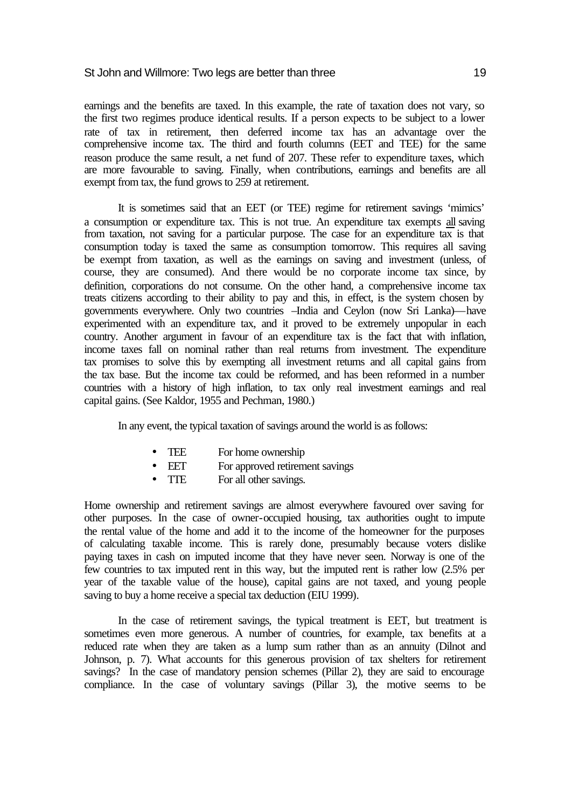earnings and the benefits are taxed. In this example, the rate of taxation does not vary, so the first two regimes produce identical results. If a person expects to be subject to a lower rate of tax in retirement, then deferred income tax has an advantage over the comprehensive income tax. The third and fourth columns (EET and TEE) for the same reason produce the same result, a net fund of 207. These refer to expenditure taxes, which are more favourable to saving. Finally, when contributions, earnings and benefits are all exempt from tax, the fund grows to 259 at retirement.

It is sometimes said that an EET (or TEE) regime for retirement savings 'mimics' a consumption or expenditure tax. This is not true. An expenditure tax exempts all saving from taxation, not saving for a particular purpose. The case for an expenditure tax is that consumption today is taxed the same as consumption tomorrow. This requires all saving be exempt from taxation, as well as the earnings on saving and investment (unless, of course, they are consumed). And there would be no corporate income tax since, by definition, corporations do not consume. On the other hand, a comprehensive income tax treats citizens according to their ability to pay and this, in effect, is the system chosen by governments everywhere. Only two countries –India and Ceylon (now Sri Lanka)—have experimented with an expenditure tax, and it proved to be extremely unpopular in each country. Another argument in favour of an expenditure tax is the fact that with inflation, income taxes fall on nominal rather than real returns from investment. The expenditure tax promises to solve this by exempting all investment returns and all capital gains from the tax base. But the income tax could be reformed, and has been reformed in a number countries with a history of high inflation, to tax only real investment earnings and real capital gains. (See Kaldor, 1955 and Pechman, 1980.)

In any event, the typical taxation of savings around the world is as follows:

- TEE For home ownership
- EET For approved retirement savings
- TTE For all other savings.

Home ownership and retirement savings are almost everywhere favoured over saving for other purposes. In the case of owner-occupied housing, tax authorities ought to impute the rental value of the home and add it to the income of the homeowner for the purposes of calculating taxable income. This is rarely done, presumably because voters dislike paying taxes in cash on imputed income that they have never seen. Norway is one of the few countries to tax imputed rent in this way, but the imputed rent is rather low (2.5% per year of the taxable value of the house), capital gains are not taxed, and young people saving to buy a home receive a special tax deduction (EIU 1999).

In the case of retirement savings, the typical treatment is EET, but treatment is sometimes even more generous. A number of countries, for example, tax benefits at a reduced rate when they are taken as a lump sum rather than as an annuity (Dilnot and Johnson, p. 7). What accounts for this generous provision of tax shelters for retirement savings? In the case of mandatory pension schemes (Pillar 2), they are said to encourage compliance. In the case of voluntary savings (Pillar 3), the motive seems to be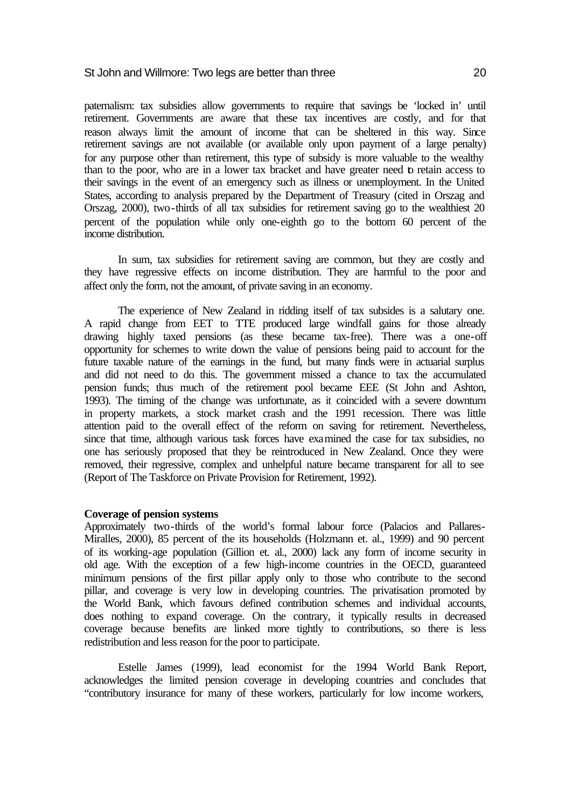paternalism: tax subsidies allow governments to require that savings be 'locked in' until retirement. Governments are aware that these tax incentives are costly, and for that reason always limit the amount of income that can be sheltered in this way. Since retirement savings are not available (or available only upon payment of a large penalty) for any purpose other than retirement, this type of subsidy is more valuable to the wealthy than to the poor, who are in a lower tax bracket and have greater need to retain access to their savings in the event of an emergency such as illness or unemployment. In the United States, according to analysis prepared by the Department of Treasury (cited in Orszag and Orszag, 2000), two-thirds of all tax subsidies for retirement saving go to the wealthiest 20 percent of the population while only one-eighth go to the bottom 60 percent of the income distribution.

In sum, tax subsidies for retirement saving are common, but they are costly and they have regressive effects on income distribution. They are harmful to the poor and affect only the form, not the amount, of private saving in an economy.

The experience of New Zealand in ridding itself of tax subsides is a salutary one. A rapid change from EET to TTE produced large windfall gains for those already drawing highly taxed pensions (as these became tax-free). There was a one-off opportunity for schemes to write down the value of pensions being paid to account for the future taxable nature of the earnings in the fund, but many finds were in actuarial surplus and did not need to do this. The government missed a chance to tax the accumulated pension funds; thus much of the retirement pool became EEE (St John and Ashton, 1993). The timing of the change was unfortunate, as it coincided with a severe downturn in property markets, a stock market crash and the 1991 recession. There was little attention paid to the overall effect of the reform on saving for retirement. Nevertheless, since that time, although various task forces have examined the case for tax subsidies, no one has seriously proposed that they be reintroduced in New Zealand. Once they were removed, their regressive, complex and unhelpful nature became transparent for all to see (Report of The Taskforce on Private Provision for Retirement, 1992).

#### **Coverage of pension systems**

Approximately two-thirds of the world's formal labour force (Palacios and Pallares-Miralles, 2000), 85 percent of the its households (Holzmann et. al., 1999) and 90 percent of its working-age population (Gillion et. al., 2000) lack any form of income security in old age. With the exception of a few high-income countries in the OECD, guaranteed minimum pensions of the first pillar apply only to those who contribute to the second pillar, and coverage is very low in developing countries. The privatisation promoted by the World Bank, which favours defined contribution schemes and individual accounts, does nothing to expand coverage. On the contrary, it typically results in decreased coverage because benefits are linked more tightly to contributions, so there is less redistribution and less reason for the poor to participate.

Estelle James (1999), lead economist for the 1994 World Bank Report, acknowledges the limited pension coverage in developing countries and concludes that "contributory insurance for many of these workers, particularly for low income workers,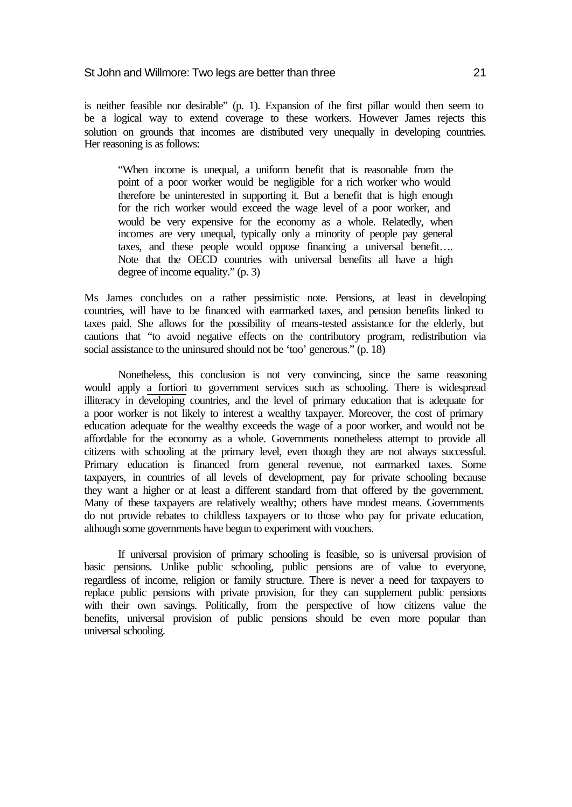is neither feasible nor desirable" (p. 1). Expansion of the first pillar would then seem to be a logical way to extend coverage to these workers. However James rejects this solution on grounds that incomes are distributed very unequally in developing countries. Her reasoning is as follows:

"When income is unequal, a uniform benefit that is reasonable from the point of a poor worker would be negligible for a rich worker who would therefore be uninterested in supporting it. But a benefit that is high enough for the rich worker would exceed the wage level of a poor worker, and would be very expensive for the economy as a whole. Relatedly, when incomes are very unequal, typically only a minority of people pay general taxes, and these people would oppose financing a universal benefit…. Note that the OECD countries with universal benefits all have a high degree of income equality." (p. 3)

Ms James concludes on a rather pessimistic note. Pensions, at least in developing countries, will have to be financed with earmarked taxes, and pension benefits linked to taxes paid. She allows for the possibility of means-tested assistance for the elderly, but cautions that "to avoid negative effects on the contributory program, redistribution via social assistance to the uninsured should not be 'too' generous." (p. 18)

Nonetheless, this conclusion is not very convincing, since the same reasoning would apply a fortiori to government services such as schooling. There is widespread illiteracy in developing countries, and the level of primary education that is adequate for a poor worker is not likely to interest a wealthy taxpayer. Moreover, the cost of primary education adequate for the wealthy exceeds the wage of a poor worker, and would not be affordable for the economy as a whole. Governments nonetheless attempt to provide all citizens with schooling at the primary level, even though they are not always successful. Primary education is financed from general revenue, not earmarked taxes. Some taxpayers, in countries of all levels of development, pay for private schooling because they want a higher or at least a different standard from that offered by the government. Many of these taxpayers are relatively wealthy; others have modest means. Governments do not provide rebates to childless taxpayers or to those who pay for private education, although some governments have begun to experiment with vouchers.

If universal provision of primary schooling is feasible, so is universal provision of basic pensions. Unlike public schooling, public pensions are of value to everyone, regardless of income, religion or family structure. There is never a need for taxpayers to replace public pensions with private provision, for they can supplement public pensions with their own savings. Politically, from the perspective of how citizens value the benefits, universal provision of public pensions should be even more popular than universal schooling.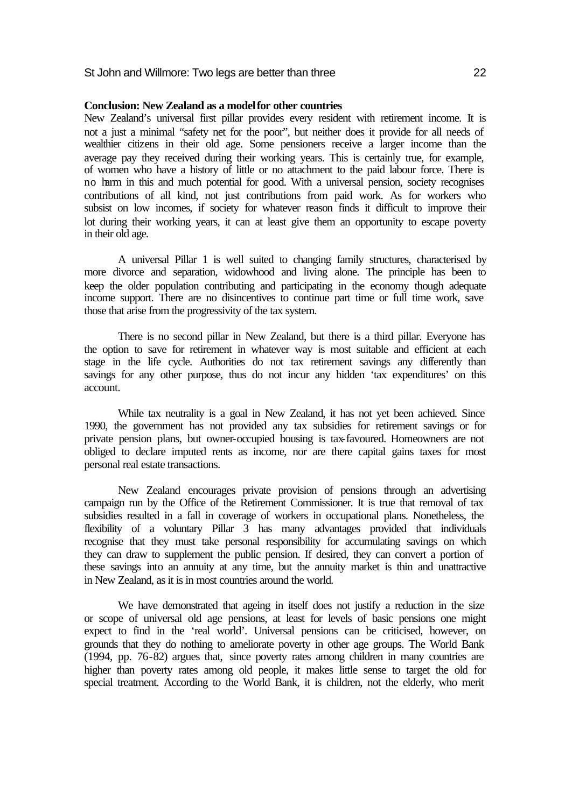# **Conclusion: New Zealand as a model for other countries**

New Zealand's universal first pillar provides every resident with retirement income. It is not a just a minimal "safety net for the poor", but neither does it provide for all needs of wealthier citizens in their old age. Some pensioners receive a larger income than the average pay they received during their working years. This is certainly true, for example, of women who have a history of little or no attachment to the paid labour force. There is no harm in this and much potential for good. With a universal pension, society recognises contributions of all kind, not just contributions from paid work. As for workers who subsist on low incomes, if society for whatever reason finds it difficult to improve their lot during their working years, it can at least give them an opportunity to escape poverty in their old age.

A universal Pillar 1 is well suited to changing family structures, characterised by more divorce and separation, widowhood and living alone. The principle has been to keep the older population contributing and participating in the economy though adequate income support. There are no disincentives to continue part time or full time work, save those that arise from the progressivity of the tax system.

There is no second pillar in New Zealand, but there is a third pillar. Everyone has the option to save for retirement in whatever way is most suitable and efficient at each stage in the life cycle. Authorities do not tax retirement savings any differently than savings for any other purpose, thus do not incur any hidden 'tax expenditures' on this account.

While tax neutrality is a goal in New Zealand, it has not yet been achieved. Since 1990, the government has not provided any tax subsidies for retirement savings or for private pension plans, but owner-occupied housing is tax-favoured. Homeowners are not obliged to declare imputed rents as income, nor are there capital gains taxes for most personal real estate transactions.

New Zealand encourages private provision of pensions through an advertising campaign run by the Office of the Retirement Commissioner. It is true that removal of tax subsidies resulted in a fall in coverage of workers in occupational plans. Nonetheless, the flexibility of a voluntary Pillar 3 has many advantages provided that individuals recognise that they must take personal responsibility for accumulating savings on which they can draw to supplement the public pension. If desired, they can convert a portion of these savings into an annuity at any time, but the annuity market is thin and unattractive in New Zealand, as it is in most countries around the world.

We have demonstrated that ageing in itself does not justify a reduction in the size or scope of universal old age pensions, at least for levels of basic pensions one might expect to find in the 'real world'. Universal pensions can be criticised, however, on grounds that they do nothing to ameliorate poverty in other age groups. The World Bank (1994, pp. 76-82) argues that, since poverty rates among children in many countries are higher than poverty rates among old people, it makes little sense to target the old for special treatment. According to the World Bank, it is children, not the elderly, who merit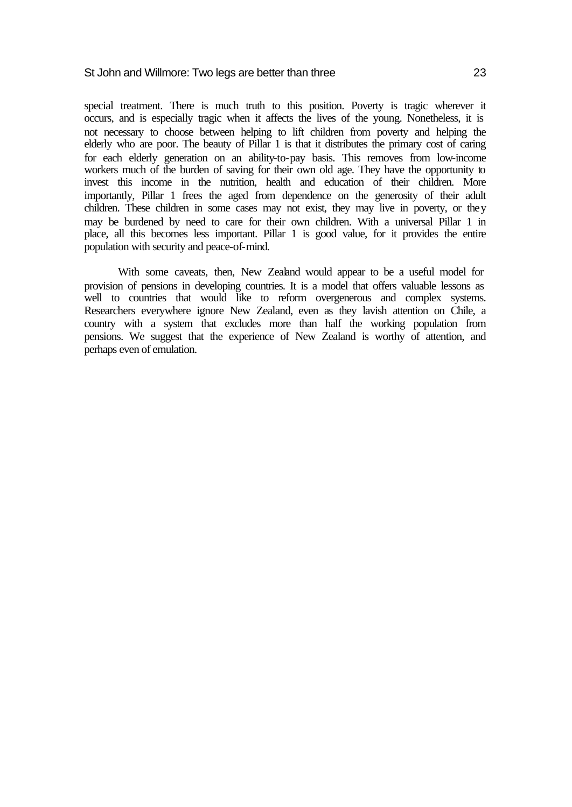special treatment. There is much truth to this position. Poverty is tragic wherever it occurs, and is especially tragic when it affects the lives of the young. Nonetheless, it is not necessary to choose between helping to lift children from poverty and helping the elderly who are poor. The beauty of Pillar 1 is that it distributes the primary cost of caring for each elderly generation on an ability-to-pay basis. This removes from low-income workers much of the burden of saving for their own old age. They have the opportunity to invest this income in the nutrition, health and education of their children. More importantly, Pillar 1 frees the aged from dependence on the generosity of their adult children. These children in some cases may not exist, they may live in poverty, or they may be burdened by need to care for their own children. With a universal Pillar 1 in place, all this becomes less important. Pillar 1 is good value, for it provides the entire population with security and peace-of-mind.

With some caveats, then, New Zealand would appear to be a useful model for provision of pensions in developing countries. It is a model that offers valuable lessons as well to countries that would like to reform overgenerous and complex systems. Researchers everywhere ignore New Zealand, even as they lavish attention on Chile, a country with a system that excludes more than half the working population from pensions. We suggest that the experience of New Zealand is worthy of attention, and perhaps even of emulation.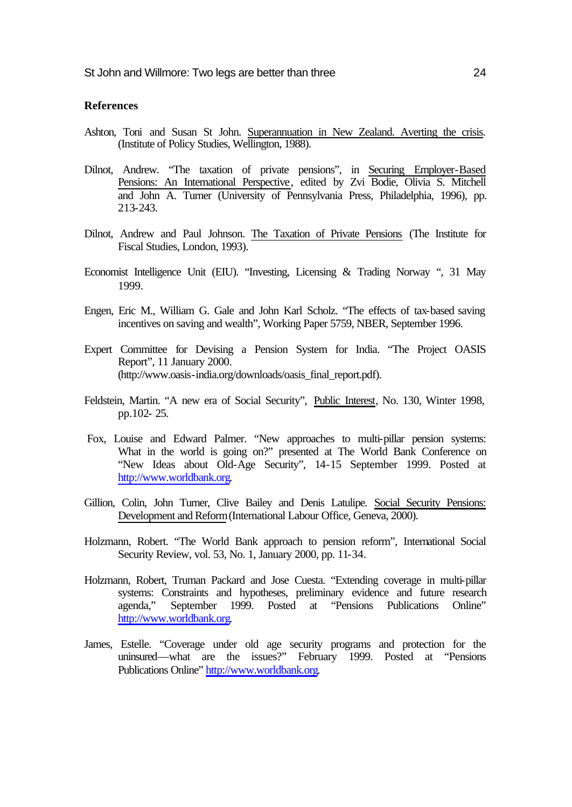# **References**

- Ashton, Toni and Susan St John. Superannuation in New Zealand. Averting the crisis. (Institute of Policy Studies, Wellington, 1988).
- Dilnot, Andrew. "The taxation of private pensions", in Securing Employer-Based Pensions: An International Perspective, edited by Zvi Bodie, Olivia S. Mitchell and John A. Turner (University of Pennsylvania Press, Philadelphia, 1996), pp. 213-243.
- Dilnot, Andrew and Paul Johnson. The Taxation of Private Pensions (The Institute for Fiscal Studies, London, 1993).
- Economist Intelligence Unit (EIU). "Investing, Licensing & Trading Norway ", 31 May 1999.
- Engen, Eric M., William G. Gale and John Karl Scholz. "The effects of tax-based saving incentives on saving and wealth", Working Paper 5759, NBER, September 1996.
- Expert Committee for Devising a Pension System for India. "The Project OASIS Report", 11 January 2000. (http://www.oasis-india.org/downloads/oasis\_final\_report.pdf).
- Feldstein, Martin. "A new era of Social Security", Public Interest, No. 130, Winter 1998, [pp.102- 25.](http://www.oasis-india.org/downloads/oasis_final_report.pdf)
- Fox, Louise and Edward Palmer. "New approaches to multi-pillar pension systems: What in the world is going on?" presented at The World Bank Conference on "New Ideas about Old-Age Security", 14-15 September 1999. Posted at http://www.worldbank.org.
- Gillion, Colin, John Turner, Clive Bailey and Denis Latulipe. Social Security Pensions: [Development and Reform \(I](http://www.worldbank.org)nternational Labour Office, Geneva, 2000).
- Holzmann, Robert. "The World Bank approach to pension reform", International Social Security Review, vol. 53, No. 1, January 2000, pp. 11-34.
- Holzmann, Robert, Truman Packard and Jose Cuesta. "Extending coverage in multi-pillar systems: Constraints and hypotheses, preliminary evidence and future research agenda," September 1999. Posted at "Pensions Publications Online" http://www.worldbank.org.
- James, Estelle. "Coverage under old age security programs and protection for the uninsured—what are the issues?" February 1999. Posted at "Pensions [Publications Online" http://w](http://www.worldbank.org)ww.worldbank.org.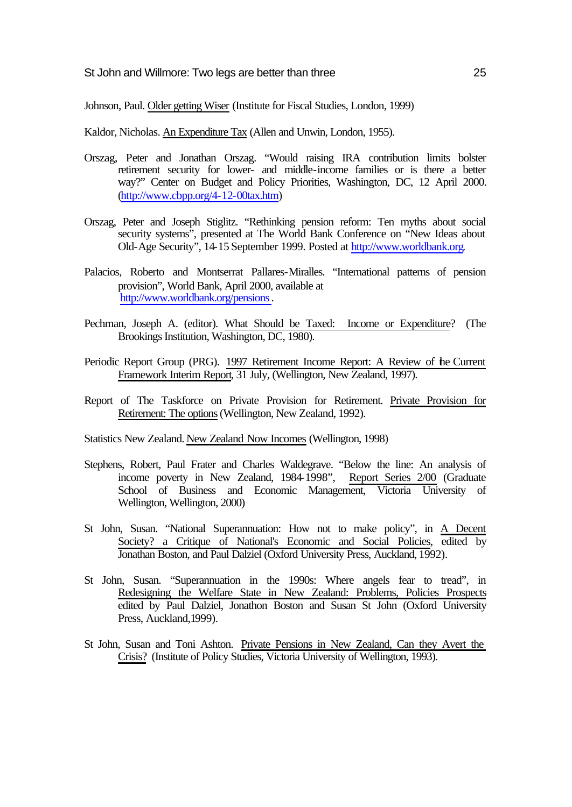Johnson, Paul. Older getting Wiser (Institute for Fiscal Studies, London, 1999)

Kaldor, Nicholas. An Expenditure Tax (Allen and Unwin, London, 1955).

- Orszag, Peter and Jonathan Orszag. "Would raising IRA contribution limits bolster retirement security for lower- and middle-income families or is there a better way?" Center on Budget and Policy Priorities, Washington, DC, 12 April 2000. (http://www.cbpp.org/4-12-00tax.htm)
- Orszag, Peter and Joseph Stiglitz. "Rethinking pension reform: Ten myths about social security systems", presented at The World Bank Conference on "New Ideas about [Old-Age Security", 14-15 September 1](http://www.cbpp.org/4-12-00tax.htm)999. Posted at http://www.worldbank.org.
- Palacios, Roberto and Montserrat Pallares-Miralles. "International patterns of pension provision", World Bank, April 2000, available at http://www.worldbank.org/pensions.
- Pechman, Joseph A. (editor). What Should be Taxed: Income or Expenditure? (The [Brookings Institution, Washington, D](http://www.worldbank.org/pensions)C, 1980).
- Periodic Report Group (PRG). 1997 Retirement Income Report: A Review of the Current Framework Interim Report, 31 July, (Wellington, New Zealand, 1997).
- Report of The Taskforce on Private Provision for Retirement. Private Provision for Retirement: The options (Wellington, New Zealand, 1992).

Statistics New Zealand. New Zealand Now Incomes (Wellington, 1998)

- Stephens, Robert, Paul Frater and Charles Waldegrave. "Below the line: An analysis of income poverty in New Zealand, 1984-1998", Report Series 2/00 (Graduate School of Business and Economic Management, Victoria University of Wellington, Wellington, 2000)
- St John, Susan. "National Superannuation: How not to make policy", in A Decent Society? a Critique of National's Economic and Social Policies, edited by Jonathan Boston, and Paul Dalziel (Oxford University Press, Auckland, 1992).
- St John, Susan. "Superannuation in the 1990s: Where angels fear to tread", in Redesigning the Welfare State in New Zealand: Problems, Policies Prospects edited by Paul Dalziel, Jonathon Boston and Susan St John (Oxford University Press, Auckland,1999).
- St John, Susan and Toni Ashton. Private Pensions in New Zealand, Can they Avert the Crisis? (Institute of Policy Studies, Victoria University of Wellington, 1993).